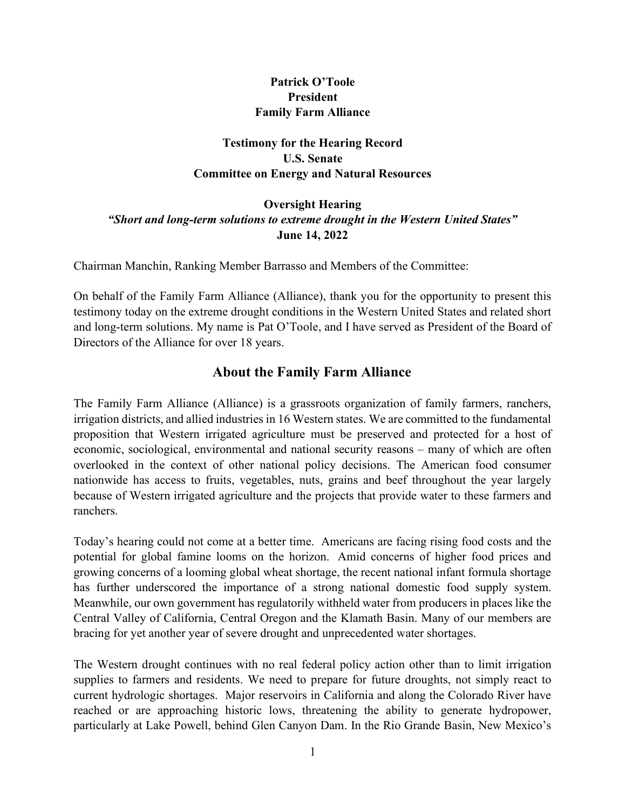## Patrick O'Toole President Family Farm Alliance

## Testimony for the Hearing Record U.S. Senate Committee on Energy and Natural Resources

### Oversight Hearing "Short and long-term solutions to extreme drought in the Western United States" June 14, 2022

Chairman Manchin, Ranking Member Barrasso and Members of the Committee:

On behalf of the Family Farm Alliance (Alliance), thank you for the opportunity to present this testimony today on the extreme drought conditions in the Western United States and related short and long-term solutions. My name is Pat O'Toole, and I have served as President of the Board of Directors of the Alliance for over 18 years.

## About the Family Farm Alliance

The Family Farm Alliance (Alliance) is a grassroots organization of family farmers, ranchers, irrigation districts, and allied industries in 16 Western states. We are committed to the fundamental proposition that Western irrigated agriculture must be preserved and protected for a host of economic, sociological, environmental and national security reasons – many of which are often overlooked in the context of other national policy decisions. The American food consumer nationwide has access to fruits, vegetables, nuts, grains and beef throughout the year largely because of Western irrigated agriculture and the projects that provide water to these farmers and ranchers.

Today's hearing could not come at a better time. Americans are facing rising food costs and the potential for global famine looms on the horizon. Amid concerns of higher food prices and growing concerns of a looming global wheat shortage, the recent national infant formula shortage has further underscored the importance of a strong national domestic food supply system. Meanwhile, our own government has regulatorily withheld water from producers in places like the Central Valley of California, Central Oregon and the Klamath Basin. Many of our members are bracing for yet another year of severe drought and unprecedented water shortages.

The Western drought continues with no real federal policy action other than to limit irrigation supplies to farmers and residents. We need to prepare for future droughts, not simply react to current hydrologic shortages. Major reservoirs in California and along the Colorado River have reached or are approaching historic lows, threatening the ability to generate hydropower, particularly at Lake Powell, behind Glen Canyon Dam. In the Rio Grande Basin, New Mexico's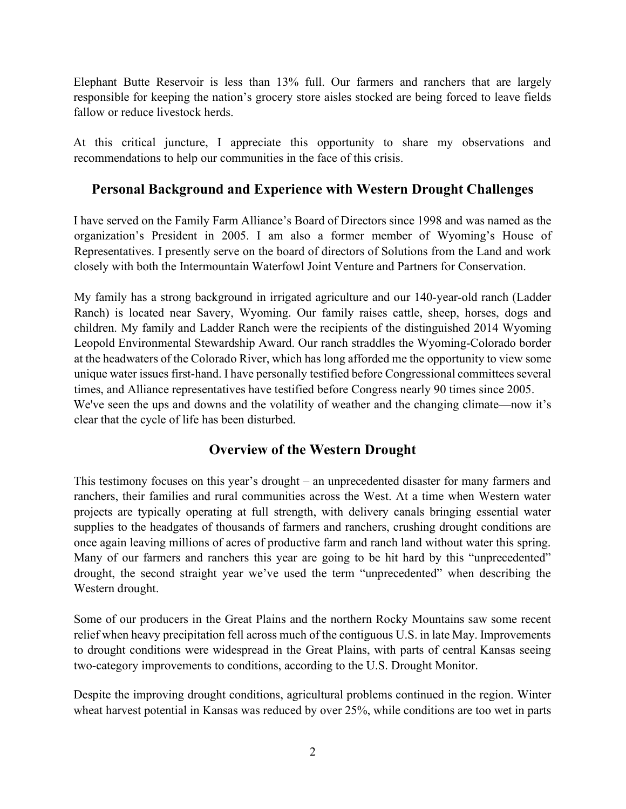Elephant Butte Reservoir is less than 13% full. Our farmers and ranchers that are largely responsible for keeping the nation's grocery store aisles stocked are being forced to leave fields fallow or reduce livestock herds.

At this critical juncture, I appreciate this opportunity to share my observations and recommendations to help our communities in the face of this crisis.

## Personal Background and Experience with Western Drought Challenges

I have served on the Family Farm Alliance's Board of Directors since 1998 and was named as the organization's President in 2005. I am also a former member of Wyoming's House of Representatives. I presently serve on the board of directors of Solutions from the Land and work closely with both the Intermountain Waterfowl Joint Venture and Partners for Conservation.

My family has a strong background in irrigated agriculture and our 140-year-old ranch (Ladder Ranch) is located near Savery, Wyoming. Our family raises cattle, sheep, horses, dogs and children. My family and Ladder Ranch were the recipients of the distinguished 2014 Wyoming Leopold Environmental Stewardship Award. Our ranch straddles the Wyoming-Colorado border at the headwaters of the Colorado River, which has long afforded me the opportunity to view some unique water issues first-hand. I have personally testified before Congressional committees several times, and Alliance representatives have testified before Congress nearly 90 times since 2005. We've seen the ups and downs and the volatility of weather and the changing climate—now it's clear that the cycle of life has been disturbed.

## Overview of the Western Drought

This testimony focuses on this year's drought – an unprecedented disaster for many farmers and ranchers, their families and rural communities across the West. At a time when Western water projects are typically operating at full strength, with delivery canals bringing essential water supplies to the headgates of thousands of farmers and ranchers, crushing drought conditions are once again leaving millions of acres of productive farm and ranch land without water this spring. Many of our farmers and ranchers this year are going to be hit hard by this "unprecedented" drought, the second straight year we've used the term "unprecedented" when describing the Western drought.

Some of our producers in the Great Plains and the northern Rocky Mountains saw some recent relief when heavy precipitation fell across much of the contiguous U.S. in late May. Improvements to drought conditions were widespread in the Great Plains, with parts of central Kansas seeing two-category improvements to conditions, according to the U.S. Drought Monitor.

Despite the improving drought conditions, agricultural problems continued in the region. Winter wheat harvest potential in Kansas was reduced by over 25%, while conditions are too wet in parts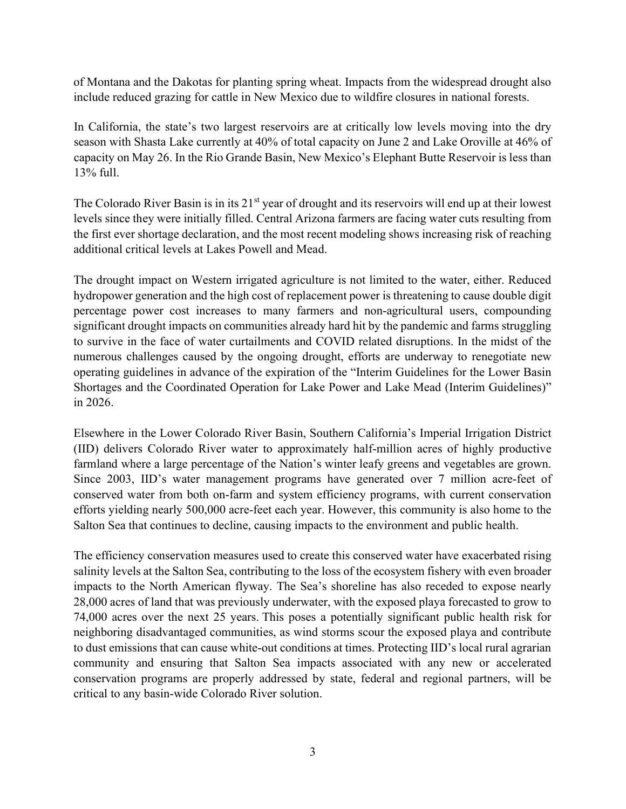of Montana and the Dakotas for planting spring wheat. Impacts from the widespread drought also include reduced grazing for cattle in New Mexico due to wildfire closures in national forests.

In California, the state's two largest reservoirs are at critically low levels moving into the dry season with Shasta Lake currently at 40% of total capacity on June 2 and Lake Oroville at 46% of capacity on May 26. In the Rio Grande Basin, New Mexico's Elephant Butte Reservoir is less than 13% full.

The Colorado River Basin is in its 21<sup>st</sup> year of drought and its reservoirs will end up at their lowest levels since they were initially filled. Central Arizona farmers are facing water cuts resulting from the first ever shortage declaration, and the most recent modeling shows increasing risk of reaching additional critical levels at Lakes Powell and Mead.

The drought impact on Western irrigated agriculture is not limited to the water, either. Reduced hydropower generation and the high cost of replacement power is threatening to cause double digit percentage power cost increases to many farmers and non-agricultural users, compounding significant drought impacts on communities already hard hit by the pandemic and farms struggling to survive in the face of water curtailments and COVID related disruptions. In the midst of the numerous challenges caused by the ongoing drought, efforts are underway to renegotiate new operating guidelines in advance of the expiration of the "Interim Guidelines for the Lower Basin Shortages and the Coordinated Operation for Lake Power and Lake Mead (Interim Guidelines)" in 2026.

Elsewhere in the Lower Colorado River Basin, Southern California's Imperial Irrigation District (IID) delivers Colorado River water to approximately half-million acres of highly productive farmland where a large percentage of the Nation's winter leafy greens and vegetables are grown. Since 2003, IID's water management programs have generated over 7 million acre-feet of conserved water from both on-farm and system efficiency programs, with current conservation efforts yielding nearly 500,000 acre-feet each year. However, this community is also home to the Salton Sea that continues to decline, causing impacts to the environment and public health.

The efficiency conservation measures used to create this conserved water have exacerbated rising salinity levels at the Salton Sea, contributing to the loss of the ecosystem fishery with even broader impacts to the North American flyway. The Sea's shoreline has also receded to expose nearly 28,000 acres of land that was previously underwater, with the exposed playa forecasted to grow to 74,000 acres over the next 25 years. This poses a potentially significant public health risk for neighboring disadvantaged communities, as wind storms scour the exposed playa and contribute to dust emissions that can cause white-out conditions at times. Protecting IID's local rural agrarian community and ensuring that Salton Sea impacts associated with any new or accelerated conservation programs are properly addressed by state, federal and regional partners, will be critical to any basin-wide Colorado River solution.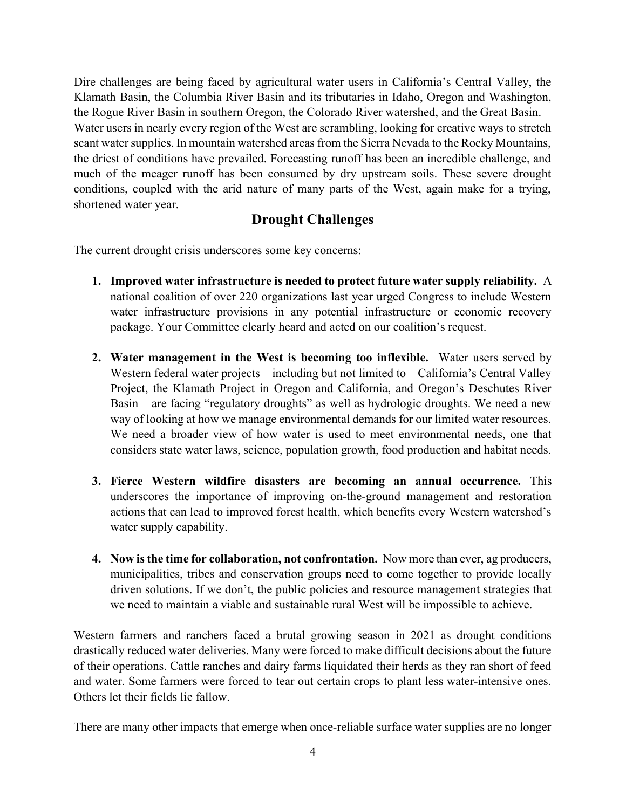Dire challenges are being faced by agricultural water users in California's Central Valley, the Klamath Basin, the Columbia River Basin and its tributaries in Idaho, Oregon and Washington, the Rogue River Basin in southern Oregon, the Colorado River watershed, and the Great Basin. Water users in nearly every region of the West are scrambling, looking for creative ways to stretch scant water supplies. In mountain watershed areas from the Sierra Nevada to the Rocky Mountains, the driest of conditions have prevailed. Forecasting runoff has been an incredible challenge, and much of the meager runoff has been consumed by dry upstream soils. These severe drought conditions, coupled with the arid nature of many parts of the West, again make for a trying, shortened water year.

## Drought Challenges

The current drought crisis underscores some key concerns:

- 1. Improved water infrastructure is needed to protect future water supply reliability. A national coalition of over 220 organizations last year urged Congress to include Western water infrastructure provisions in any potential infrastructure or economic recovery package. Your Committee clearly heard and acted on our coalition's request.
- 2. Water management in the West is becoming too inflexible. Water users served by Western federal water projects – including but not limited to – California's Central Valley Project, the Klamath Project in Oregon and California, and Oregon's Deschutes River Basin – are facing "regulatory droughts" as well as hydrologic droughts. We need a new way of looking at how we manage environmental demands for our limited water resources. We need a broader view of how water is used to meet environmental needs, one that considers state water laws, science, population growth, food production and habitat needs.
- 3. Fierce Western wildfire disasters are becoming an annual occurrence. This underscores the importance of improving on-the-ground management and restoration actions that can lead to improved forest health, which benefits every Western watershed's water supply capability.
- 4. Now is the time for collaboration, not confrontation. Now more than ever, ag producers, municipalities, tribes and conservation groups need to come together to provide locally driven solutions. If we don't, the public policies and resource management strategies that we need to maintain a viable and sustainable rural West will be impossible to achieve.

Western farmers and ranchers faced a brutal growing season in 2021 as drought conditions drastically reduced water deliveries. Many were forced to make difficult decisions about the future of their operations. Cattle ranches and dairy farms liquidated their herds as they ran short of feed and water. Some farmers were forced to tear out certain crops to plant less water-intensive ones. Others let their fields lie fallow.

There are many other impacts that emerge when once-reliable surface water supplies are no longer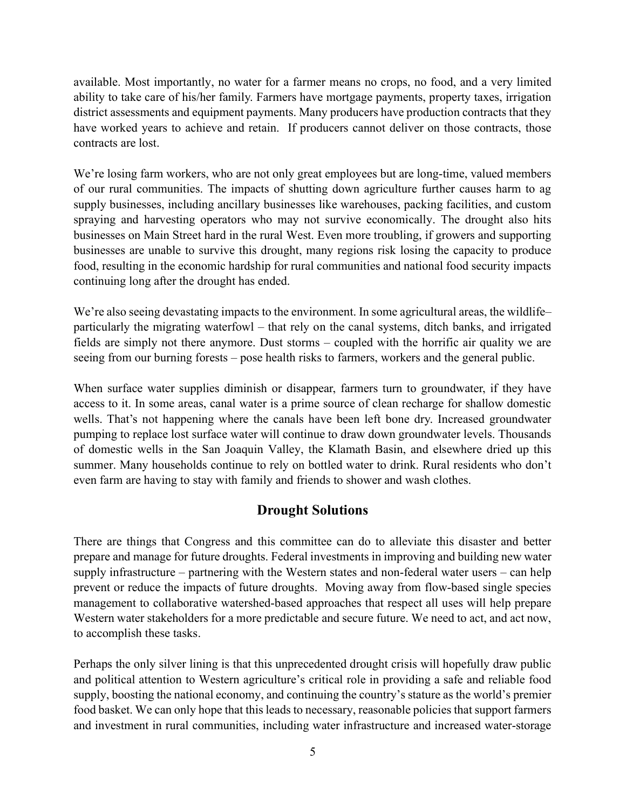available. Most importantly, no water for a farmer means no crops, no food, and a very limited ability to take care of his/her family. Farmers have mortgage payments, property taxes, irrigation district assessments and equipment payments. Many producers have production contracts that they have worked years to achieve and retain. If producers cannot deliver on those contracts, those contracts are lost.

We're losing farm workers, who are not only great employees but are long-time, valued members of our rural communities. The impacts of shutting down agriculture further causes harm to ag supply businesses, including ancillary businesses like warehouses, packing facilities, and custom spraying and harvesting operators who may not survive economically. The drought also hits businesses on Main Street hard in the rural West. Even more troubling, if growers and supporting businesses are unable to survive this drought, many regions risk losing the capacity to produce food, resulting in the economic hardship for rural communities and national food security impacts continuing long after the drought has ended.

We're also seeing devastating impacts to the environment. In some agricultural areas, the wildlife– particularly the migrating waterfowl – that rely on the canal systems, ditch banks, and irrigated fields are simply not there anymore. Dust storms – coupled with the horrific air quality we are seeing from our burning forests – pose health risks to farmers, workers and the general public.

When surface water supplies diminish or disappear, farmers turn to groundwater, if they have access to it. In some areas, canal water is a prime source of clean recharge for shallow domestic wells. That's not happening where the canals have been left bone dry. Increased groundwater pumping to replace lost surface water will continue to draw down groundwater levels. Thousands of domestic wells in the San Joaquin Valley, the Klamath Basin, and elsewhere dried up this summer. Many households continue to rely on bottled water to drink. Rural residents who don't even farm are having to stay with family and friends to shower and wash clothes.

# Drought Solutions

There are things that Congress and this committee can do to alleviate this disaster and better prepare and manage for future droughts. Federal investments in improving and building new water supply infrastructure – partnering with the Western states and non-federal water users – can help prevent or reduce the impacts of future droughts. Moving away from flow-based single species management to collaborative watershed-based approaches that respect all uses will help prepare Western water stakeholders for a more predictable and secure future. We need to act, and act now, to accomplish these tasks.

Perhaps the only silver lining is that this unprecedented drought crisis will hopefully draw public and political attention to Western agriculture's critical role in providing a safe and reliable food supply, boosting the national economy, and continuing the country's stature as the world's premier food basket. We can only hope that this leads to necessary, reasonable policies that support farmers and investment in rural communities, including water infrastructure and increased water-storage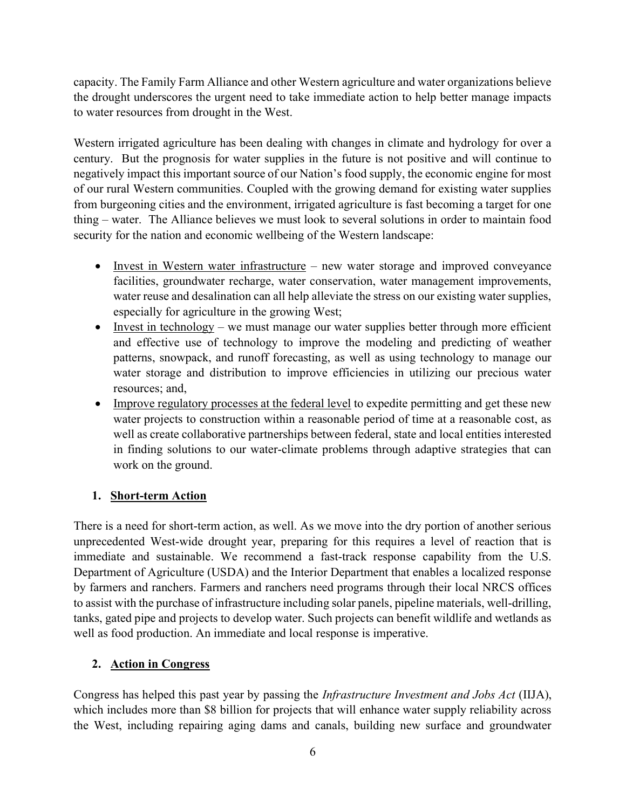capacity. The Family Farm Alliance and other Western agriculture and water organizations believe the drought underscores the urgent need to take immediate action to help better manage impacts to water resources from drought in the West.

Western irrigated agriculture has been dealing with changes in climate and hydrology for over a century. But the prognosis for water supplies in the future is not positive and will continue to negatively impact this important source of our Nation's food supply, the economic engine for most of our rural Western communities. Coupled with the growing demand for existing water supplies from burgeoning cities and the environment, irrigated agriculture is fast becoming a target for one thing – water. The Alliance believes we must look to several solutions in order to maintain food security for the nation and economic wellbeing of the Western landscape:

- Invest in Western water infrastructure new water storage and improved conveyance facilities, groundwater recharge, water conservation, water management improvements, water reuse and desalination can all help alleviate the stress on our existing water supplies, especially for agriculture in the growing West;
- Invest in technology we must manage our water supplies better through more efficient and effective use of technology to improve the modeling and predicting of weather patterns, snowpack, and runoff forecasting, as well as using technology to manage our water storage and distribution to improve efficiencies in utilizing our precious water resources; and,
- Improve regulatory processes at the federal level to expedite permitting and get these new water projects to construction within a reasonable period of time at a reasonable cost, as well as create collaborative partnerships between federal, state and local entities interested in finding solutions to our water-climate problems through adaptive strategies that can work on the ground.

## 1. Short-term Action

There is a need for short-term action, as well. As we move into the dry portion of another serious unprecedented West-wide drought year, preparing for this requires a level of reaction that is immediate and sustainable. We recommend a fast-track response capability from the U.S. Department of Agriculture (USDA) and the Interior Department that enables a localized response by farmers and ranchers. Farmers and ranchers need programs through their local NRCS offices to assist with the purchase of infrastructure including solar panels, pipeline materials, well-drilling, tanks, gated pipe and projects to develop water. Such projects can benefit wildlife and wetlands as well as food production. An immediate and local response is imperative.

## 2. Action in Congress

Congress has helped this past year by passing the Infrastructure Investment and Jobs Act (IIJA), which includes more than \$8 billion for projects that will enhance water supply reliability across the West, including repairing aging dams and canals, building new surface and groundwater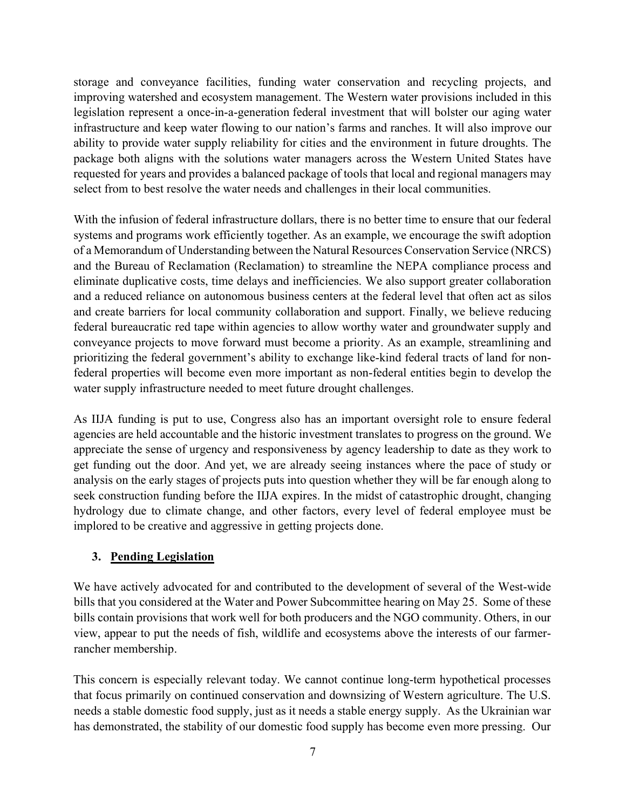storage and conveyance facilities, funding water conservation and recycling projects, and improving watershed and ecosystem management. The Western water provisions included in this legislation represent a once-in-a-generation federal investment that will bolster our aging water infrastructure and keep water flowing to our nation's farms and ranches. It will also improve our ability to provide water supply reliability for cities and the environment in future droughts. The package both aligns with the solutions water managers across the Western United States have requested for years and provides a balanced package of tools that local and regional managers may select from to best resolve the water needs and challenges in their local communities.

With the infusion of federal infrastructure dollars, there is no better time to ensure that our federal systems and programs work efficiently together. As an example, we encourage the swift adoption of a Memorandum of Understanding between the Natural Resources Conservation Service (NRCS) and the Bureau of Reclamation (Reclamation) to streamline the NEPA compliance process and eliminate duplicative costs, time delays and inefficiencies. We also support greater collaboration and a reduced reliance on autonomous business centers at the federal level that often act as silos and create barriers for local community collaboration and support. Finally, we believe reducing federal bureaucratic red tape within agencies to allow worthy water and groundwater supply and conveyance projects to move forward must become a priority. As an example, streamlining and prioritizing the federal government's ability to exchange like-kind federal tracts of land for nonfederal properties will become even more important as non-federal entities begin to develop the water supply infrastructure needed to meet future drought challenges.

As IIJA funding is put to use, Congress also has an important oversight role to ensure federal agencies are held accountable and the historic investment translates to progress on the ground. We appreciate the sense of urgency and responsiveness by agency leadership to date as they work to get funding out the door. And yet, we are already seeing instances where the pace of study or analysis on the early stages of projects puts into question whether they will be far enough along to seek construction funding before the IIJA expires. In the midst of catastrophic drought, changing hydrology due to climate change, and other factors, every level of federal employee must be implored to be creative and aggressive in getting projects done.

### 3. Pending Legislation

We have actively advocated for and contributed to the development of several of the West-wide bills that you considered at the Water and Power Subcommittee hearing on May 25. Some of these bills contain provisions that work well for both producers and the NGO community. Others, in our view, appear to put the needs of fish, wildlife and ecosystems above the interests of our farmerrancher membership.

This concern is especially relevant today. We cannot continue long-term hypothetical processes that focus primarily on continued conservation and downsizing of Western agriculture. The U.S. needs a stable domestic food supply, just as it needs a stable energy supply. As the Ukrainian war has demonstrated, the stability of our domestic food supply has become even more pressing. Our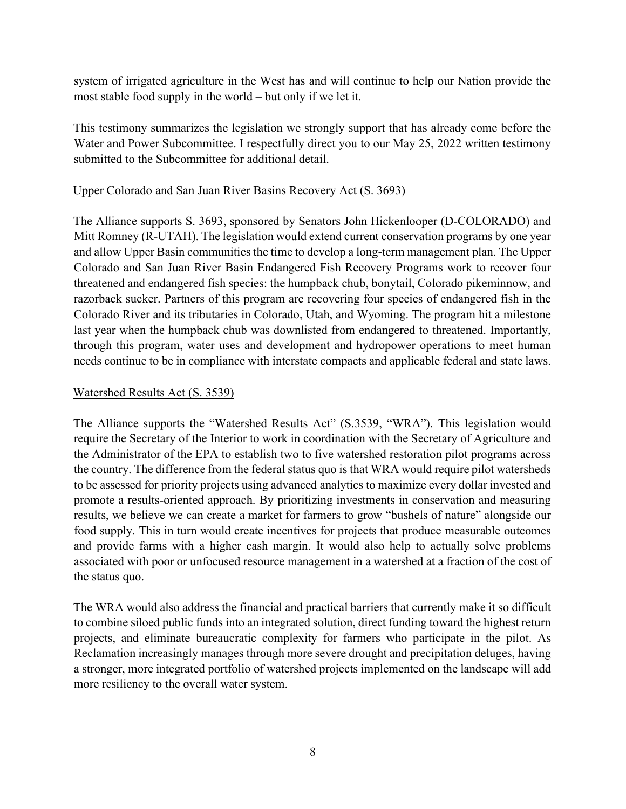system of irrigated agriculture in the West has and will continue to help our Nation provide the most stable food supply in the world – but only if we let it.

This testimony summarizes the legislation we strongly support that has already come before the Water and Power Subcommittee. I respectfully direct you to our May 25, 2022 written testimony submitted to the Subcommittee for additional detail.

### Upper Colorado and San Juan River Basins Recovery Act (S. 3693)

The Alliance supports S. 3693, sponsored by Senators John Hickenlooper (D-COLORADO) and Mitt Romney (R-UTAH). The legislation would extend current conservation programs by one year and allow Upper Basin communities the time to develop a long-term management plan. The Upper Colorado and San Juan River Basin Endangered Fish Recovery Programs work to recover four threatened and endangered fish species: the humpback chub, bonytail, Colorado pikeminnow, and razorback sucker. Partners of this program are recovering four species of endangered fish in the Colorado River and its tributaries in Colorado, Utah, and Wyoming. The program hit a milestone last year when the humpback chub was downlisted from endangered to threatened. Importantly, through this program, water uses and development and hydropower operations to meet human needs continue to be in compliance with interstate compacts and applicable federal and state laws.

#### Watershed Results Act (S. 3539)

The Alliance supports the "Watershed Results Act" (S.3539, "WRA"). This legislation would require the Secretary of the Interior to work in coordination with the Secretary of Agriculture and the Administrator of the EPA to establish two to five watershed restoration pilot programs across the country. The difference from the federal status quo is that WRA would require pilot watersheds to be assessed for priority projects using advanced analytics to maximize every dollar invested and promote a results-oriented approach. By prioritizing investments in conservation and measuring results, we believe we can create a market for farmers to grow "bushels of nature" alongside our food supply. This in turn would create incentives for projects that produce measurable outcomes and provide farms with a higher cash margin. It would also help to actually solve problems associated with poor or unfocused resource management in a watershed at a fraction of the cost of the status quo.

The WRA would also address the financial and practical barriers that currently make it so difficult to combine siloed public funds into an integrated solution, direct funding toward the highest return projects, and eliminate bureaucratic complexity for farmers who participate in the pilot. As Reclamation increasingly manages through more severe drought and precipitation deluges, having a stronger, more integrated portfolio of watershed projects implemented on the landscape will add more resiliency to the overall water system.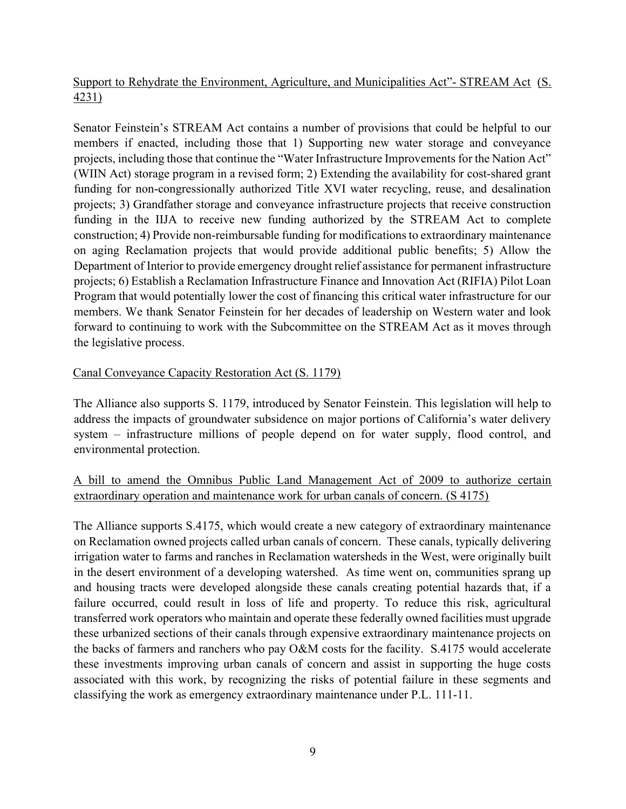## Support to Rehydrate the Environment, Agriculture, and Municipalities Act"- STREAM Act (S. 4231)

Senator Feinstein's STREAM Act contains a number of provisions that could be helpful to our members if enacted, including those that 1) Supporting new water storage and conveyance projects, including those that continue the "Water Infrastructure Improvements for the Nation Act" (WIIN Act) storage program in a revised form; 2) Extending the availability for cost-shared grant funding for non-congressionally authorized Title XVI water recycling, reuse, and desalination projects; 3) Grandfather storage and conveyance infrastructure projects that receive construction funding in the IIJA to receive new funding authorized by the STREAM Act to complete construction; 4) Provide non-reimbursable funding for modifications to extraordinary maintenance on aging Reclamation projects that would provide additional public benefits; 5) Allow the Department of Interior to provide emergency drought relief assistance for permanent infrastructure projects; 6) Establish a Reclamation Infrastructure Finance and Innovation Act (RIFIA) Pilot Loan Program that would potentially lower the cost of financing this critical water infrastructure for our members. We thank Senator Feinstein for her decades of leadership on Western water and look forward to continuing to work with the Subcommittee on the STREAM Act as it moves through the legislative process.

#### Canal Conveyance Capacity Restoration Act (S. 1179)

The Alliance also supports S. 1179, introduced by Senator Feinstein. This legislation will help to address the impacts of groundwater subsidence on major portions of California's water delivery system – infrastructure millions of people depend on for water supply, flood control, and environmental protection.

### A bill to amend the Omnibus Public Land Management Act of 2009 to authorize certain extraordinary operation and maintenance work for urban canals of concern. (S 4175)

The Alliance supports S.4175, which would create a new category of extraordinary maintenance on Reclamation owned projects called urban canals of concern. These canals, typically delivering irrigation water to farms and ranches in Reclamation watersheds in the West, were originally built in the desert environment of a developing watershed. As time went on, communities sprang up and housing tracts were developed alongside these canals creating potential hazards that, if a failure occurred, could result in loss of life and property. To reduce this risk, agricultural transferred work operators who maintain and operate these federally owned facilities must upgrade these urbanized sections of their canals through expensive extraordinary maintenance projects on the backs of farmers and ranchers who pay O&M costs for the facility. S.4175 would accelerate these investments improving urban canals of concern and assist in supporting the huge costs associated with this work, by recognizing the risks of potential failure in these segments and classifying the work as emergency extraordinary maintenance under P.L. 111-11.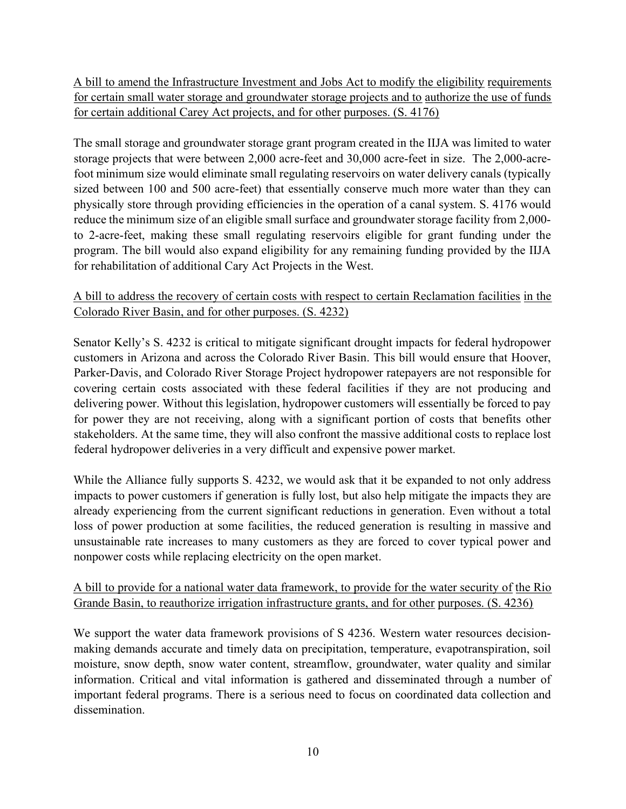A bill to amend the Infrastructure Investment and Jobs Act to modify the eligibility requirements for certain small water storage and groundwater storage projects and to authorize the use of funds for certain additional Carey Act projects, and for other purposes. (S. 4176)

The small storage and groundwater storage grant program created in the IIJA was limited to water storage projects that were between 2,000 acre-feet and 30,000 acre-feet in size. The 2,000-acrefoot minimum size would eliminate small regulating reservoirs on water delivery canals (typically sized between 100 and 500 acre-feet) that essentially conserve much more water than they can physically store through providing efficiencies in the operation of a canal system. S. 4176 would reduce the minimum size of an eligible small surface and groundwater storage facility from 2,000 to 2-acre-feet, making these small regulating reservoirs eligible for grant funding under the program. The bill would also expand eligibility for any remaining funding provided by the IIJA for rehabilitation of additional Cary Act Projects in the West.

### A bill to address the recovery of certain costs with respect to certain Reclamation facilities in the Colorado River Basin, and for other purposes. (S. 4232)

Senator Kelly's S. 4232 is critical to mitigate significant drought impacts for federal hydropower customers in Arizona and across the Colorado River Basin. This bill would ensure that Hoover, Parker-Davis, and Colorado River Storage Project hydropower ratepayers are not responsible for covering certain costs associated with these federal facilities if they are not producing and delivering power. Without this legislation, hydropower customers will essentially be forced to pay for power they are not receiving, along with a significant portion of costs that benefits other stakeholders. At the same time, they will also confront the massive additional costs to replace lost federal hydropower deliveries in a very difficult and expensive power market.

While the Alliance fully supports S. 4232, we would ask that it be expanded to not only address impacts to power customers if generation is fully lost, but also help mitigate the impacts they are already experiencing from the current significant reductions in generation. Even without a total loss of power production at some facilities, the reduced generation is resulting in massive and unsustainable rate increases to many customers as they are forced to cover typical power and nonpower costs while replacing electricity on the open market.

## A bill to provide for a national water data framework, to provide for the water security of the Rio Grande Basin, to reauthorize irrigation infrastructure grants, and for other purposes. (S. 4236)

We support the water data framework provisions of S 4236. Western water resources decisionmaking demands accurate and timely data on precipitation, temperature, evapotranspiration, soil moisture, snow depth, snow water content, streamflow, groundwater, water quality and similar information. Critical and vital information is gathered and disseminated through a number of important federal programs. There is a serious need to focus on coordinated data collection and dissemination.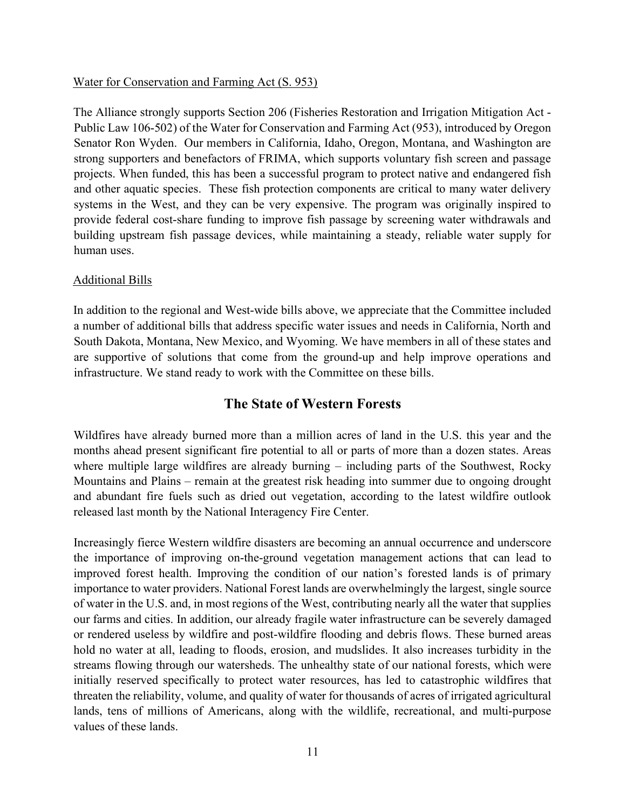### Water for Conservation and Farming Act (S. 953)

The Alliance strongly supports Section 206 (Fisheries Restoration and Irrigation Mitigation Act - Public Law 106-502) of the Water for Conservation and Farming Act (953), introduced by Oregon Senator Ron Wyden. Our members in California, Idaho, Oregon, Montana, and Washington are strong supporters and benefactors of FRIMA, which supports voluntary fish screen and passage projects. When funded, this has been a successful program to protect native and endangered fish and other aquatic species. These fish protection components are critical to many water delivery systems in the West, and they can be very expensive. The program was originally inspired to provide federal cost-share funding to improve fish passage by screening water withdrawals and building upstream fish passage devices, while maintaining a steady, reliable water supply for human uses.

#### Additional Bills

In addition to the regional and West-wide bills above, we appreciate that the Committee included a number of additional bills that address specific water issues and needs in California, North and South Dakota, Montana, New Mexico, and Wyoming. We have members in all of these states and are supportive of solutions that come from the ground-up and help improve operations and infrastructure. We stand ready to work with the Committee on these bills.

## The State of Western Forests

Wildfires have already burned more than a million acres of land in the U.S. this year and the months ahead present significant fire potential to all or parts of more than a dozen states. Areas where multiple large wildfires are already burning – including parts of the Southwest, Rocky Mountains and Plains – remain at the greatest risk heading into summer due to ongoing drought and abundant fire fuels such as dried out vegetation, according to the latest wildfire outlook released last month by the National Interagency Fire Center.

Increasingly fierce Western wildfire disasters are becoming an annual occurrence and underscore the importance of improving on-the-ground vegetation management actions that can lead to improved forest health. Improving the condition of our nation's forested lands is of primary importance to water providers. National Forest lands are overwhelmingly the largest, single source of water in the U.S. and, in most regions of the West, contributing nearly all the water that supplies our farms and cities. In addition, our already fragile water infrastructure can be severely damaged or rendered useless by wildfire and post-wildfire flooding and debris flows. These burned areas hold no water at all, leading to floods, erosion, and mudslides. It also increases turbidity in the streams flowing through our watersheds. The unhealthy state of our national forests, which were initially reserved specifically to protect water resources, has led to catastrophic wildfires that threaten the reliability, volume, and quality of water for thousands of acres of irrigated agricultural lands, tens of millions of Americans, along with the wildlife, recreational, and multi-purpose values of these lands.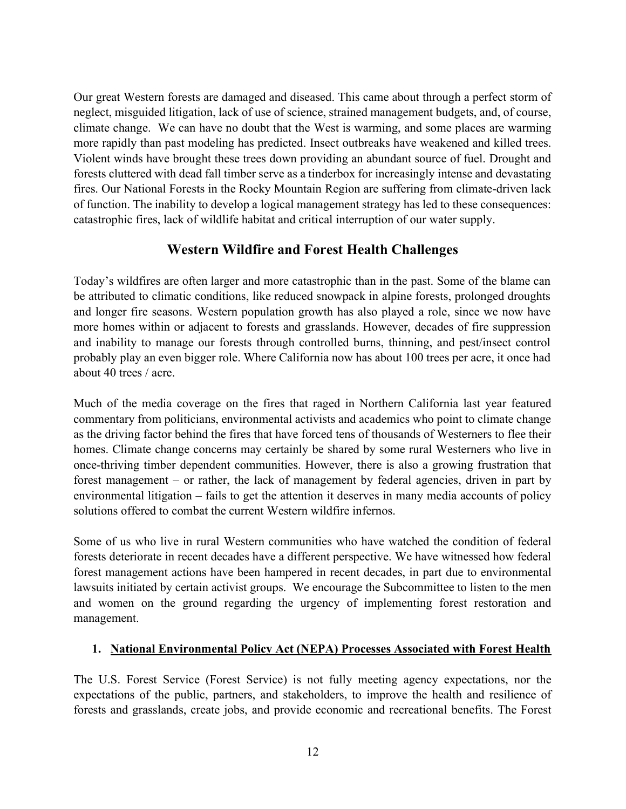Our great Western forests are damaged and diseased. This came about through a perfect storm of neglect, misguided litigation, lack of use of science, strained management budgets, and, of course, climate change. We can have no doubt that the West is warming, and some places are warming more rapidly than past modeling has predicted. Insect outbreaks have weakened and killed trees. Violent winds have brought these trees down providing an abundant source of fuel. Drought and forests cluttered with dead fall timber serve as a tinderbox for increasingly intense and devastating fires. Our National Forests in the Rocky Mountain Region are suffering from climate-driven lack of function. The inability to develop a logical management strategy has led to these consequences: catastrophic fires, lack of wildlife habitat and critical interruption of our water supply.

## Western Wildfire and Forest Health Challenges

Today's wildfires are often larger and more catastrophic than in the past. Some of the blame can be attributed to climatic conditions, like reduced snowpack in alpine forests, prolonged droughts and longer fire seasons. Western population growth has also played a role, since we now have more homes within or adjacent to forests and grasslands. However, decades of fire suppression and inability to manage our forests through controlled burns, thinning, and pest/insect control probably play an even bigger role. Where California now has about 100 trees per acre, it once had about 40 trees / acre.

Much of the media coverage on the fires that raged in Northern California last year featured commentary from politicians, environmental activists and academics who point to climate change as the driving factor behind the fires that have forced tens of thousands of Westerners to flee their homes. Climate change concerns may certainly be shared by some rural Westerners who live in once-thriving timber dependent communities. However, there is also a growing frustration that forest management – or rather, the lack of management by federal agencies, driven in part by environmental litigation – fails to get the attention it deserves in many media accounts of policy solutions offered to combat the current Western wildfire infernos.

Some of us who live in rural Western communities who have watched the condition of federal forests deteriorate in recent decades have a different perspective. We have witnessed how federal forest management actions have been hampered in recent decades, in part due to environmental lawsuits initiated by certain activist groups. We encourage the Subcommittee to listen to the men and women on the ground regarding the urgency of implementing forest restoration and management.

## 1. National Environmental Policy Act (NEPA) Processes Associated with Forest Health

The U.S. Forest Service (Forest Service) is not fully meeting agency expectations, nor the expectations of the public, partners, and stakeholders, to improve the health and resilience of forests and grasslands, create jobs, and provide economic and recreational benefits. The Forest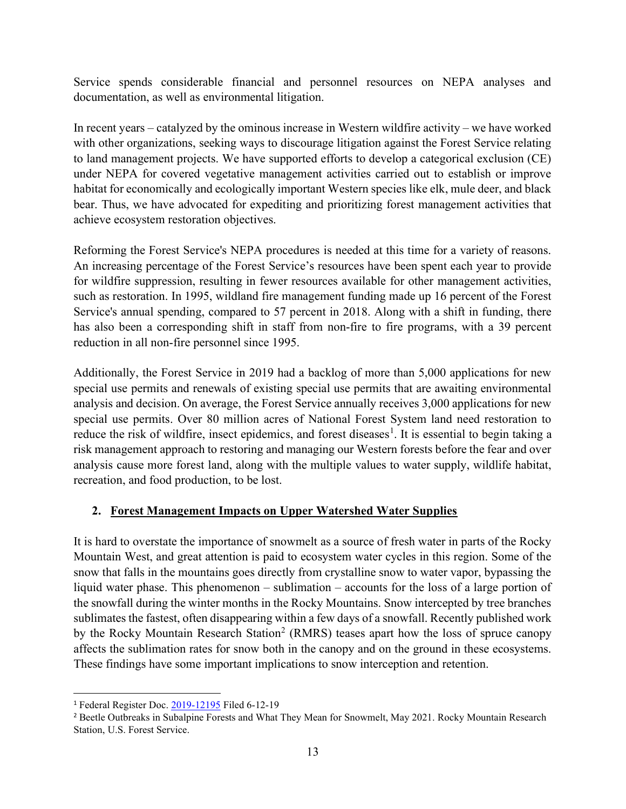Service spends considerable financial and personnel resources on NEPA analyses and documentation, as well as environmental litigation.

In recent years – catalyzed by the ominous increase in Western wildfire activity – we have worked with other organizations, seeking ways to discourage litigation against the Forest Service relating to land management projects. We have supported efforts to develop a categorical exclusion (CE) under NEPA for covered vegetative management activities carried out to establish or improve habitat for economically and ecologically important Western species like elk, mule deer, and black bear. Thus, we have advocated for expediting and prioritizing forest management activities that achieve ecosystem restoration objectives.

Reforming the Forest Service's NEPA procedures is needed at this time for a variety of reasons. An increasing percentage of the Forest Service's resources have been spent each year to provide for wildfire suppression, resulting in fewer resources available for other management activities, such as restoration. In 1995, wildland fire management funding made up 16 percent of the Forest Service's annual spending, compared to 57 percent in 2018. Along with a shift in funding, there has also been a corresponding shift in staff from non-fire to fire programs, with a 39 percent reduction in all non-fire personnel since 1995.

Additionally, the Forest Service in 2019 had a backlog of more than 5,000 applications for new special use permits and renewals of existing special use permits that are awaiting environmental analysis and decision. On average, the Forest Service annually receives 3,000 applications for new special use permits. Over 80 million acres of National Forest System land need restoration to reduce the risk of wildfire, insect epidemics, and forest diseases<sup>1</sup>. It is essential to begin taking a risk management approach to restoring and managing our Western forests before the fear and over analysis cause more forest land, along with the multiple values to water supply, wildlife habitat, recreation, and food production, to be lost.

### 2. Forest Management Impacts on Upper Watershed Water Supplies

It is hard to overstate the importance of snowmelt as a source of fresh water in parts of the Rocky Mountain West, and great attention is paid to ecosystem water cycles in this region. Some of the snow that falls in the mountains goes directly from crystalline snow to water vapor, bypassing the liquid water phase. This phenomenon – sublimation – accounts for the loss of a large portion of the snowfall during the winter months in the Rocky Mountains. Snow intercepted by tree branches sublimates the fastest, often disappearing within a few days of a snowfall. Recently published work by the Rocky Mountain Research Station<sup>2</sup> (RMRS) teases apart how the loss of spruce canopy affects the sublimation rates for snow both in the canopy and on the ground in these ecosystems. These findings have some important implications to snow interception and retention.

<sup>1</sup> Federal Register Doc. 2019-12195 Filed 6-12-19

<sup>&</sup>lt;sup>2</sup> Beetle Outbreaks in Subalpine Forests and What They Mean for Snowmelt, May 2021. Rocky Mountain Research Station, U.S. Forest Service.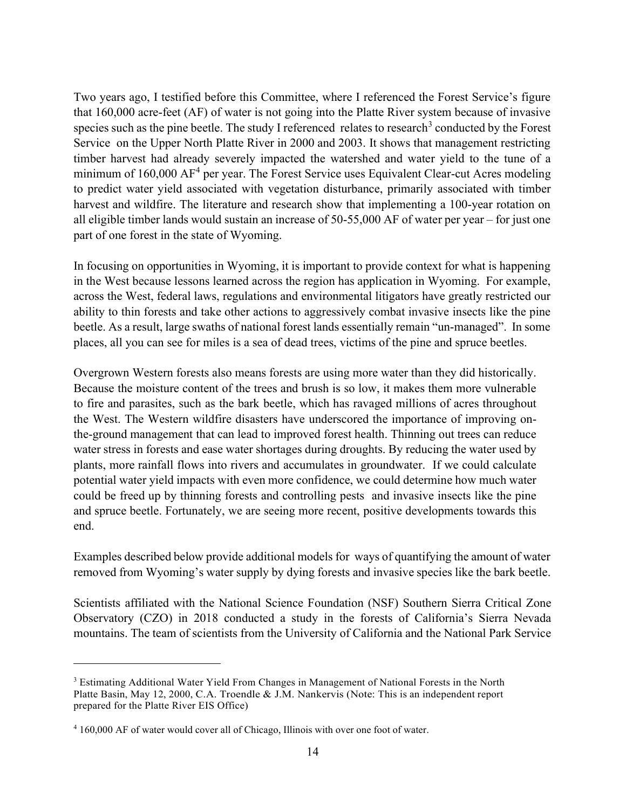Two years ago, I testified before this Committee, where I referenced the Forest Service's figure that 160,000 acre-feet (AF) of water is not going into the Platte River system because of invasive species such as the pine beetle. The study I referenced relates to research<sup>3</sup> conducted by the Forest Service on the Upper North Platte River in 2000 and 2003. It shows that management restricting timber harvest had already severely impacted the watershed and water yield to the tune of a minimum of 160,000 AF<sup>4</sup> per year. The Forest Service uses Equivalent Clear-cut Acres modeling to predict water yield associated with vegetation disturbance, primarily associated with timber harvest and wildfire. The literature and research show that implementing a 100-year rotation on all eligible timber lands would sustain an increase of 50-55,000 AF of water per year – for just one part of one forest in the state of Wyoming.

In focusing on opportunities in Wyoming, it is important to provide context for what is happening in the West because lessons learned across the region has application in Wyoming. For example, across the West, federal laws, regulations and environmental litigators have greatly restricted our ability to thin forests and take other actions to aggressively combat invasive insects like the pine beetle. As a result, large swaths of national forest lands essentially remain "un-managed". In some places, all you can see for miles is a sea of dead trees, victims of the pine and spruce beetles.

Overgrown Western forests also means forests are using more water than they did historically. Because the moisture content of the trees and brush is so low, it makes them more vulnerable to fire and parasites, such as the bark beetle, which has ravaged millions of acres throughout the West. The Western wildfire disasters have underscored the importance of improving onthe-ground management that can lead to improved forest health. Thinning out trees can reduce water stress in forests and ease water shortages during droughts. By reducing the water used by plants, more rainfall flows into rivers and accumulates in groundwater. If we could calculate potential water yield impacts with even more confidence, we could determine how much water could be freed up by thinning forests and controlling pests and invasive insects like the pine and spruce beetle. Fortunately, we are seeing more recent, positive developments towards this end.

Examples described below provide additional models for ways of quantifying the amount of water removed from Wyoming's water supply by dying forests and invasive species like the bark beetle.

Scientists affiliated with the National Science Foundation (NSF) Southern Sierra Critical Zone Observatory (CZO) in 2018 conducted a study in the forests of California's Sierra Nevada mountains. The team of scientists from the University of California and the National Park Service

<sup>&</sup>lt;sup>3</sup> Estimating Additional Water Yield From Changes in Management of National Forests in the North Platte Basin, May 12, 2000, C.A. Troendle & J.M. Nankervis (Note: This is an independent report prepared for the Platte River EIS Office)

<sup>&</sup>lt;sup>4</sup> 160,000 AF of water would cover all of Chicago, Illinois with over one foot of water.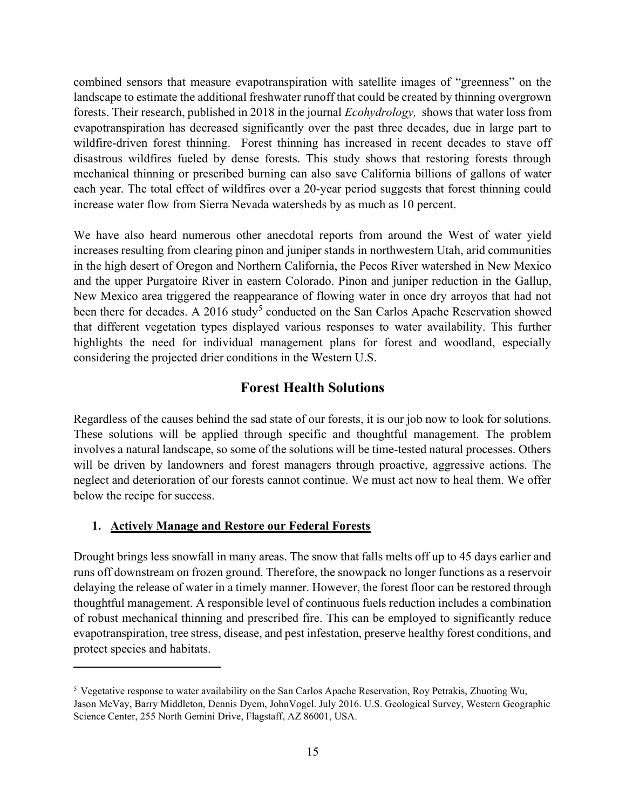combined sensors that measure evapotranspiration with satellite images of "greenness" on the landscape to estimate the additional freshwater runoff that could be created by thinning overgrown forests. Their research, published in 2018 in the journal Ecohydrology, shows that water loss from evapotranspiration has decreased significantly over the past three decades, due in large part to wildfire-driven forest thinning. Forest thinning has increased in recent decades to stave off disastrous wildfires fueled by dense forests. This study shows that restoring forests through mechanical thinning or prescribed burning can also save California billions of gallons of water each year. The total effect of wildfires over a 20-year period suggests that forest thinning could increase water flow from Sierra Nevada watersheds by as much as 10 percent.

We have also heard numerous other anecdotal reports from around the West of water yield increases resulting from clearing pinon and juniper stands in northwestern Utah, arid communities in the high desert of Oregon and Northern California, the Pecos River watershed in New Mexico and the upper Purgatoire River in eastern Colorado. Pinon and juniper reduction in the Gallup, New Mexico area triggered the reappearance of flowing water in once dry arroyos that had not been there for decades. A 2016 study<sup>5</sup> conducted on the San Carlos Apache Reservation showed that different vegetation types displayed various responses to water availability. This further highlights the need for individual management plans for forest and woodland, especially considering the projected drier conditions in the Western U.S.

## Forest Health Solutions

Regardless of the causes behind the sad state of our forests, it is our job now to look for solutions. These solutions will be applied through specific and thoughtful management. The problem involves a natural landscape, so some of the solutions will be time-tested natural processes. Others will be driven by landowners and forest managers through proactive, aggressive actions. The neglect and deterioration of our forests cannot continue. We must act now to heal them. We offer below the recipe for success.

### 1. Actively Manage and Restore our Federal Forests

Drought brings less snowfall in many areas. The snow that falls melts off up to 45 days earlier and runs off downstream on frozen ground. Therefore, the snowpack no longer functions as a reservoir delaying the release of water in a timely manner. However, the forest floor can be restored through thoughtful management. A responsible level of continuous fuels reduction includes a combination of robust mechanical thinning and prescribed fire. This can be employed to significantly reduce evapotranspiration, tree stress, disease, and pest infestation, preserve healthy forest conditions, and protect species and habitats.

<sup>5</sup> Vegetative response to water availability on the San Carlos Apache Reservation, Roy Petrakis, Zhuoting Wu, Jason McVay, Barry Middleton, Dennis Dyem, JohnVogel. July 2016. U.S. Geological Survey, Western Geographic Science Center, 255 North Gemini Drive, Flagstaff, AZ 86001, USA.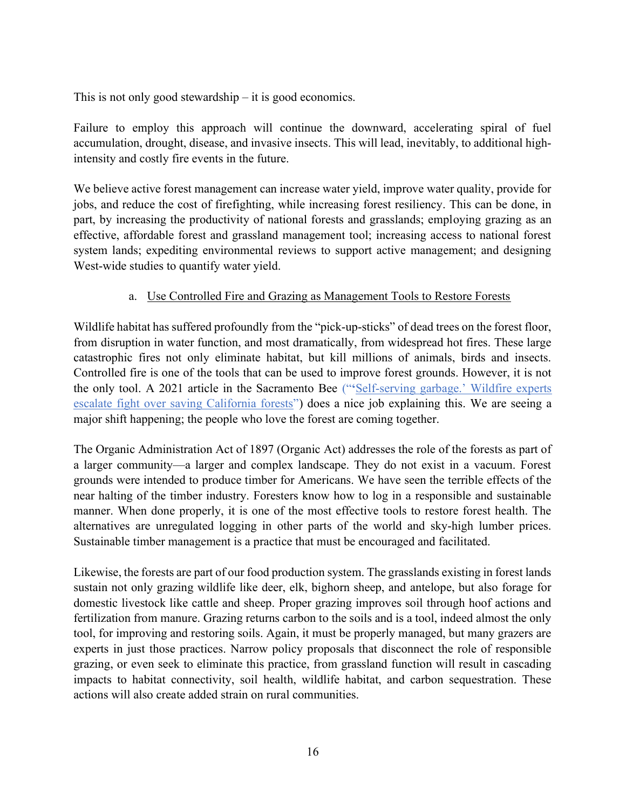This is not only good stewardship – it is good economics.

Failure to employ this approach will continue the downward, accelerating spiral of fuel accumulation, drought, disease, and invasive insects. This will lead, inevitably, to additional highintensity and costly fire events in the future.

We believe active forest management can increase water yield, improve water quality, provide for jobs, and reduce the cost of firefighting, while increasing forest resiliency. This can be done, in part, by increasing the productivity of national forests and grasslands; employing grazing as an effective, affordable forest and grassland management tool; increasing access to national forest system lands; expediting environmental reviews to support active management; and designing West-wide studies to quantify water yield.

### a. Use Controlled Fire and Grazing as Management Tools to Restore Forests

Wildlife habitat has suffered profoundly from the "pick-up-sticks" of dead trees on the forest floor, from disruption in water function, and most dramatically, from widespread hot fires. These large catastrophic fires not only eliminate habitat, but kill millions of animals, birds and insects. Controlled fire is one of the tools that can be used to improve forest grounds. However, it is not the only tool. A 2021 article in the Sacramento Bee ("'Self-serving garbage.' Wildfire experts escalate fight over saving California forests") does a nice job explaining this. We are seeing a major shift happening; the people who love the forest are coming together.

The Organic Administration Act of 1897 (Organic Act) addresses the role of the forests as part of a larger community—a larger and complex landscape. They do not exist in a vacuum. Forest grounds were intended to produce timber for Americans. We have seen the terrible effects of the near halting of the timber industry. Foresters know how to log in a responsible and sustainable manner. When done properly, it is one of the most effective tools to restore forest health. The alternatives are unregulated logging in other parts of the world and sky-high lumber prices. Sustainable timber management is a practice that must be encouraged and facilitated.

Likewise, the forests are part of our food production system. The grasslands existing in forest lands sustain not only grazing wildlife like deer, elk, bighorn sheep, and antelope, but also forage for domestic livestock like cattle and sheep. Proper grazing improves soil through hoof actions and fertilization from manure. Grazing returns carbon to the soils and is a tool, indeed almost the only tool, for improving and restoring soils. Again, it must be properly managed, but many grazers are experts in just those practices. Narrow policy proposals that disconnect the role of responsible grazing, or even seek to eliminate this practice, from grassland function will result in cascading impacts to habitat connectivity, soil health, wildlife habitat, and carbon sequestration. These actions will also create added strain on rural communities.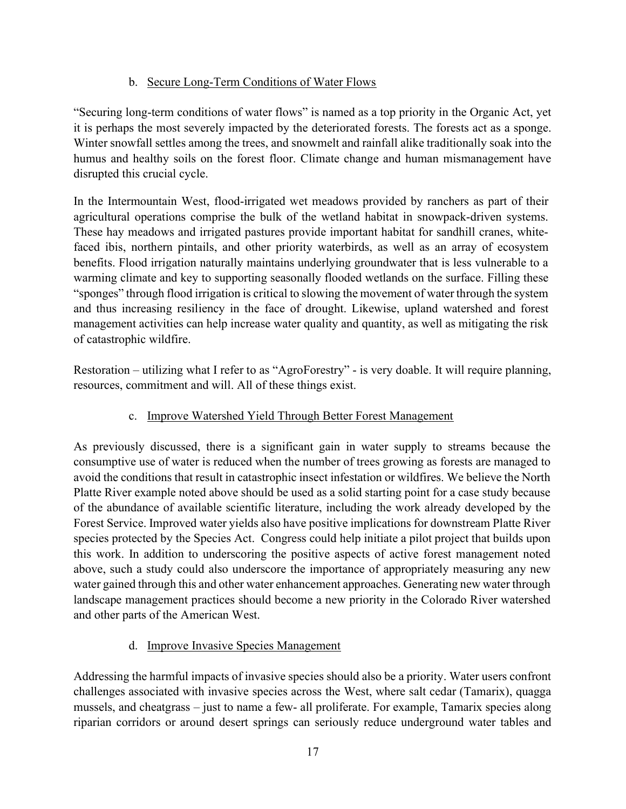## b. Secure Long-Term Conditions of Water Flows

"Securing long-term conditions of water flows" is named as a top priority in the Organic Act, yet it is perhaps the most severely impacted by the deteriorated forests. The forests act as a sponge. Winter snowfall settles among the trees, and snowmelt and rainfall alike traditionally soak into the humus and healthy soils on the forest floor. Climate change and human mismanagement have disrupted this crucial cycle.

In the Intermountain West, flood-irrigated wet meadows provided by ranchers as part of their agricultural operations comprise the bulk of the wetland habitat in snowpack-driven systems. These hay meadows and irrigated pastures provide important habitat for sandhill cranes, whitefaced ibis, northern pintails, and other priority waterbirds, as well as an array of ecosystem benefits. Flood irrigation naturally maintains underlying groundwater that is less vulnerable to a warming climate and key to supporting seasonally flooded wetlands on the surface. Filling these "sponges" through flood irrigation is critical to slowing the movement of water through the system and thus increasing resiliency in the face of drought. Likewise, upland watershed and forest management activities can help increase water quality and quantity, as well as mitigating the risk of catastrophic wildfire.

Restoration – utilizing what I refer to as "AgroForestry" - is very doable. It will require planning, resources, commitment and will. All of these things exist.

## c. Improve Watershed Yield Through Better Forest Management

As previously discussed, there is a significant gain in water supply to streams because the consumptive use of water is reduced when the number of trees growing as forests are managed to avoid the conditions that result in catastrophic insect infestation or wildfires. We believe the North Platte River example noted above should be used as a solid starting point for a case study because of the abundance of available scientific literature, including the work already developed by the Forest Service. Improved water yields also have positive implications for downstream Platte River species protected by the Species Act. Congress could help initiate a pilot project that builds upon this work. In addition to underscoring the positive aspects of active forest management noted above, such a study could also underscore the importance of appropriately measuring any new water gained through this and other water enhancement approaches. Generating new water through landscape management practices should become a new priority in the Colorado River watershed and other parts of the American West.

## d. Improve Invasive Species Management

Addressing the harmful impacts of invasive species should also be a priority. Water users confront challenges associated with invasive species across the West, where salt cedar (Tamarix), quagga mussels, and cheatgrass – just to name a few- all proliferate. For example, Tamarix species along riparian corridors or around desert springs can seriously reduce underground water tables and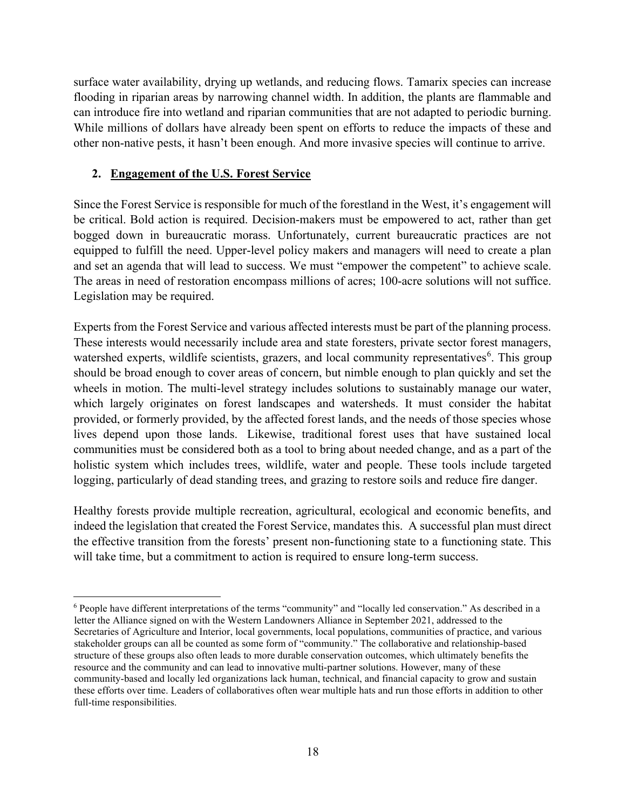surface water availability, drying up wetlands, and reducing flows. Tamarix species can increase flooding in riparian areas by narrowing channel width. In addition, the plants are flammable and can introduce fire into wetland and riparian communities that are not adapted to periodic burning. While millions of dollars have already been spent on efforts to reduce the impacts of these and other non-native pests, it hasn't been enough. And more invasive species will continue to arrive.

### 2. Engagement of the U.S. Forest Service

Since the Forest Service is responsible for much of the forestland in the West, it's engagement will be critical. Bold action is required. Decision-makers must be empowered to act, rather than get bogged down in bureaucratic morass. Unfortunately, current bureaucratic practices are not equipped to fulfill the need. Upper-level policy makers and managers will need to create a plan and set an agenda that will lead to success. We must "empower the competent" to achieve scale. The areas in need of restoration encompass millions of acres; 100-acre solutions will not suffice. Legislation may be required.

Experts from the Forest Service and various affected interests must be part of the planning process. These interests would necessarily include area and state foresters, private sector forest managers, watershed experts, wildlife scientists, grazers, and local community representatives<sup>6</sup>. This group should be broad enough to cover areas of concern, but nimble enough to plan quickly and set the wheels in motion. The multi-level strategy includes solutions to sustainably manage our water, which largely originates on forest landscapes and watersheds. It must consider the habitat provided, or formerly provided, by the affected forest lands, and the needs of those species whose lives depend upon those lands. Likewise, traditional forest uses that have sustained local communities must be considered both as a tool to bring about needed change, and as a part of the holistic system which includes trees, wildlife, water and people. These tools include targeted logging, particularly of dead standing trees, and grazing to restore soils and reduce fire danger.

Healthy forests provide multiple recreation, agricultural, ecological and economic benefits, and indeed the legislation that created the Forest Service, mandates this. A successful plan must direct the effective transition from the forests' present non-functioning state to a functioning state. This will take time, but a commitment to action is required to ensure long-term success.

<sup>&</sup>lt;sup>6</sup> People have different interpretations of the terms "community" and "locally led conservation." As described in a letter the Alliance signed on with the Western Landowners Alliance in September 2021, addressed to the Secretaries of Agriculture and Interior, local governments, local populations, communities of practice, and various stakeholder groups can all be counted as some form of "community." The collaborative and relationship-based structure of these groups also often leads to more durable conservation outcomes, which ultimately benefits the resource and the community and can lead to innovative multi-partner solutions. However, many of these community-based and locally led organizations lack human, technical, and financial capacity to grow and sustain these efforts over time. Leaders of collaboratives often wear multiple hats and run those efforts in addition to other full-time responsibilities.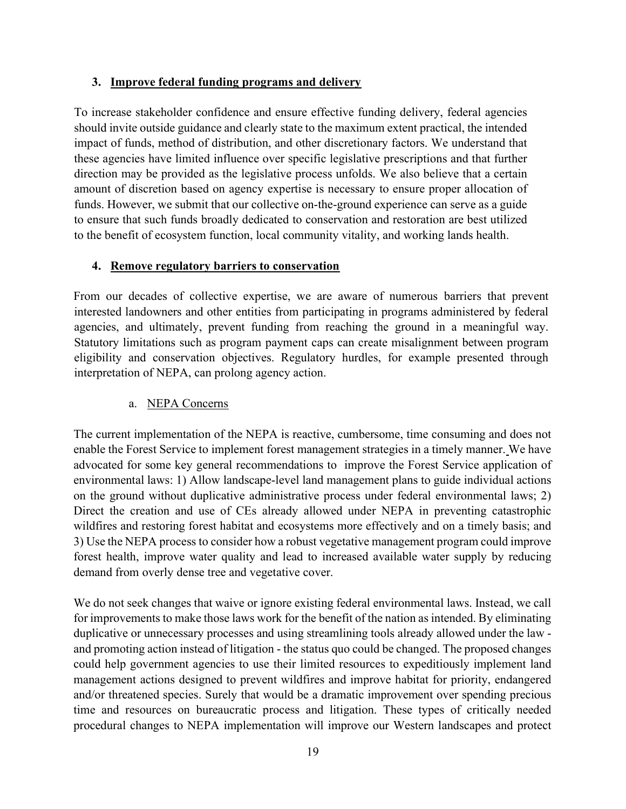### 3. Improve federal funding programs and delivery

To increase stakeholder confidence and ensure effective funding delivery, federal agencies should invite outside guidance and clearly state to the maximum extent practical, the intended impact of funds, method of distribution, and other discretionary factors. We understand that these agencies have limited influence over specific legislative prescriptions and that further direction may be provided as the legislative process unfolds. We also believe that a certain amount of discretion based on agency expertise is necessary to ensure proper allocation of funds. However, we submit that our collective on-the-ground experience can serve as a guide to ensure that such funds broadly dedicated to conservation and restoration are best utilized to the benefit of ecosystem function, local community vitality, and working lands health.

### 4. Remove regulatory barriers to conservation

From our decades of collective expertise, we are aware of numerous barriers that prevent interested landowners and other entities from participating in programs administered by federal agencies, and ultimately, prevent funding from reaching the ground in a meaningful way. Statutory limitations such as program payment caps can create misalignment between program eligibility and conservation objectives. Regulatory hurdles, for example presented through interpretation of NEPA, can prolong agency action.

### a. NEPA Concerns

The current implementation of the NEPA is reactive, cumbersome, time consuming and does not enable the Forest Service to implement forest management strategies in a timely manner. We have advocated for some key general recommendations to improve the Forest Service application of environmental laws: 1) Allow landscape-level land management plans to guide individual actions on the ground without duplicative administrative process under federal environmental laws; 2) Direct the creation and use of CEs already allowed under NEPA in preventing catastrophic wildfires and restoring forest habitat and ecosystems more effectively and on a timely basis; and 3) Use the NEPA process to consider how a robust vegetative management program could improve forest health, improve water quality and lead to increased available water supply by reducing demand from overly dense tree and vegetative cover.

We do not seek changes that waive or ignore existing federal environmental laws. Instead, we call for improvements to make those laws work for the benefit of the nation as intended. By eliminating duplicative or unnecessary processes and using streamlining tools already allowed under the law and promoting action instead of litigation - the status quo could be changed. The proposed changes could help government agencies to use their limited resources to expeditiously implement land management actions designed to prevent wildfires and improve habitat for priority, endangered and/or threatened species. Surely that would be a dramatic improvement over spending precious time and resources on bureaucratic process and litigation. These types of critically needed procedural changes to NEPA implementation will improve our Western landscapes and protect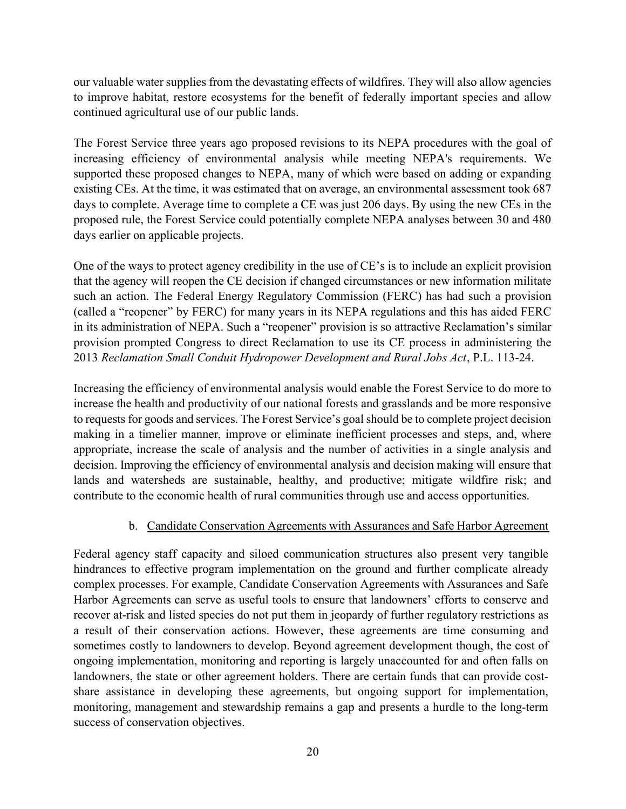our valuable water supplies from the devastating effects of wildfires. They will also allow agencies to improve habitat, restore ecosystems for the benefit of federally important species and allow continued agricultural use of our public lands.

The Forest Service three years ago proposed revisions to its NEPA procedures with the goal of increasing efficiency of environmental analysis while meeting NEPA's requirements. We supported these proposed changes to NEPA, many of which were based on adding or expanding existing CEs. At the time, it was estimated that on average, an environmental assessment took 687 days to complete. Average time to complete a CE was just 206 days. By using the new CEs in the proposed rule, the Forest Service could potentially complete NEPA analyses between 30 and 480 days earlier on applicable projects.

One of the ways to protect agency credibility in the use of CE's is to include an explicit provision that the agency will reopen the CE decision if changed circumstances or new information militate such an action. The Federal Energy Regulatory Commission (FERC) has had such a provision (called a "reopener" by FERC) for many years in its NEPA regulations and this has aided FERC in its administration of NEPA. Such a "reopener" provision is so attractive Reclamation's similar provision prompted Congress to direct Reclamation to use its CE process in administering the 2013 Reclamation Small Conduit Hydropower Development and Rural Jobs Act, P.L. 113-24.

Increasing the efficiency of environmental analysis would enable the Forest Service to do more to increase the health and productivity of our national forests and grasslands and be more responsive to requests for goods and services. The Forest Service's goal should be to complete project decision making in a timelier manner, improve or eliminate inefficient processes and steps, and, where appropriate, increase the scale of analysis and the number of activities in a single analysis and decision. Improving the efficiency of environmental analysis and decision making will ensure that lands and watersheds are sustainable, healthy, and productive; mitigate wildfire risk; and contribute to the economic health of rural communities through use and access opportunities.

### b. Candidate Conservation Agreements with Assurances and Safe Harbor Agreement

Federal agency staff capacity and siloed communication structures also present very tangible hindrances to effective program implementation on the ground and further complicate already complex processes. For example, Candidate Conservation Agreements with Assurances and Safe Harbor Agreements can serve as useful tools to ensure that landowners' efforts to conserve and recover at-risk and listed species do not put them in jeopardy of further regulatory restrictions as a result of their conservation actions. However, these agreements are time consuming and sometimes costly to landowners to develop. Beyond agreement development though, the cost of ongoing implementation, monitoring and reporting is largely unaccounted for and often falls on landowners, the state or other agreement holders. There are certain funds that can provide costshare assistance in developing these agreements, but ongoing support for implementation, monitoring, management and stewardship remains a gap and presents a hurdle to the long-term success of conservation objectives.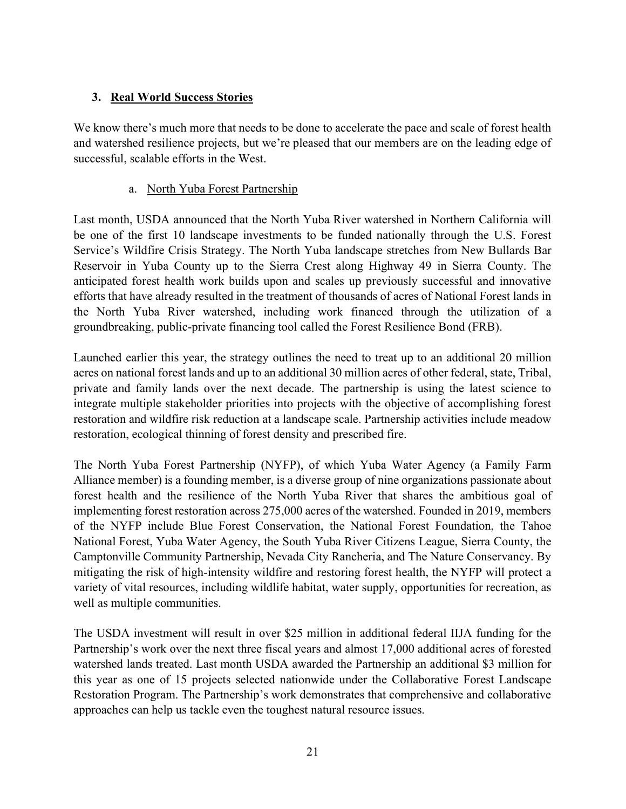### 3. Real World Success Stories

We know there's much more that needs to be done to accelerate the pace and scale of forest health and watershed resilience projects, but we're pleased that our members are on the leading edge of successful, scalable efforts in the West.

### a. North Yuba Forest Partnership

Last month, USDA announced that the North Yuba River watershed in Northern California will be one of the first 10 landscape investments to be funded nationally through the U.S. Forest Service's Wildfire Crisis Strategy. The North Yuba landscape stretches from New Bullards Bar Reservoir in Yuba County up to the Sierra Crest along Highway 49 in Sierra County. The anticipated forest health work builds upon and scales up previously successful and innovative efforts that have already resulted in the treatment of thousands of acres of National Forest lands in the North Yuba River watershed, including work financed through the utilization of a groundbreaking, public-private financing tool called the Forest Resilience Bond (FRB).

Launched earlier this year, the strategy outlines the need to treat up to an additional 20 million acres on national forest lands and up to an additional 30 million acres of other federal, state, Tribal, private and family lands over the next decade. The partnership is using the latest science to integrate multiple stakeholder priorities into projects with the objective of accomplishing forest restoration and wildfire risk reduction at a landscape scale. Partnership activities include meadow restoration, ecological thinning of forest density and prescribed fire.

The North Yuba Forest Partnership (NYFP), of which Yuba Water Agency (a Family Farm Alliance member) is a founding member, is a diverse group of nine organizations passionate about forest health and the resilience of the North Yuba River that shares the ambitious goal of implementing forest restoration across 275,000 acres of the watershed. Founded in 2019, members of the NYFP include Blue Forest Conservation, the National Forest Foundation, the Tahoe National Forest, Yuba Water Agency, the South Yuba River Citizens League, Sierra County, the Camptonville Community Partnership, Nevada City Rancheria, and The Nature Conservancy. By mitigating the risk of high-intensity wildfire and restoring forest health, the NYFP will protect a variety of vital resources, including wildlife habitat, water supply, opportunities for recreation, as well as multiple communities.

The USDA investment will result in over \$25 million in additional federal IIJA funding for the Partnership's work over the next three fiscal years and almost 17,000 additional acres of forested watershed lands treated. Last month USDA awarded the Partnership an additional \$3 million for this year as one of 15 projects selected nationwide under the Collaborative Forest Landscape Restoration Program. The Partnership's work demonstrates that comprehensive and collaborative approaches can help us tackle even the toughest natural resource issues.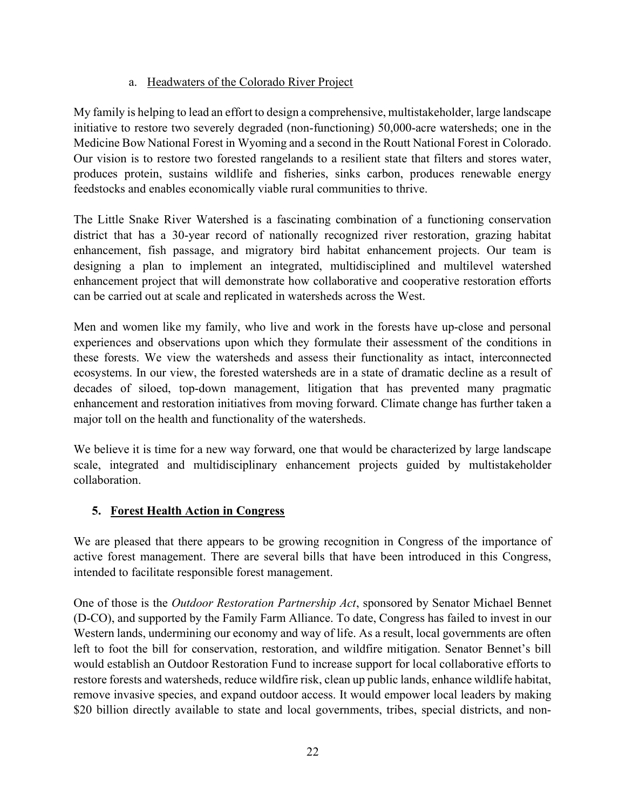### a. Headwaters of the Colorado River Project

My family is helping to lead an effort to design a comprehensive, multistakeholder, large landscape initiative to restore two severely degraded (non-functioning) 50,000-acre watersheds; one in the Medicine Bow National Forest in Wyoming and a second in the Routt National Forest in Colorado. Our vision is to restore two forested rangelands to a resilient state that filters and stores water, produces protein, sustains wildlife and fisheries, sinks carbon, produces renewable energy feedstocks and enables economically viable rural communities to thrive.

The Little Snake River Watershed is a fascinating combination of a functioning conservation district that has a 30-year record of nationally recognized river restoration, grazing habitat enhancement, fish passage, and migratory bird habitat enhancement projects. Our team is designing a plan to implement an integrated, multidisciplined and multilevel watershed enhancement project that will demonstrate how collaborative and cooperative restoration efforts can be carried out at scale and replicated in watersheds across the West.

Men and women like my family, who live and work in the forests have up-close and personal experiences and observations upon which they formulate their assessment of the conditions in these forests. We view the watersheds and assess their functionality as intact, interconnected ecosystems. In our view, the forested watersheds are in a state of dramatic decline as a result of decades of siloed, top-down management, litigation that has prevented many pragmatic enhancement and restoration initiatives from moving forward. Climate change has further taken a major toll on the health and functionality of the watersheds.

We believe it is time for a new way forward, one that would be characterized by large landscape scale, integrated and multidisciplinary enhancement projects guided by multistakeholder collaboration.

## 5. Forest Health Action in Congress

We are pleased that there appears to be growing recognition in Congress of the importance of active forest management. There are several bills that have been introduced in this Congress, intended to facilitate responsible forest management.

One of those is the Outdoor Restoration Partnership Act, sponsored by Senator Michael Bennet (D-CO), and supported by the Family Farm Alliance. To date, Congress has failed to invest in our Western lands, undermining our economy and way of life. As a result, local governments are often left to foot the bill for conservation, restoration, and wildfire mitigation. Senator Bennet's bill would establish an Outdoor Restoration Fund to increase support for local collaborative efforts to restore forests and watersheds, reduce wildfire risk, clean up public lands, enhance wildlife habitat, remove invasive species, and expand outdoor access. It would empower local leaders by making \$20 billion directly available to state and local governments, tribes, special districts, and non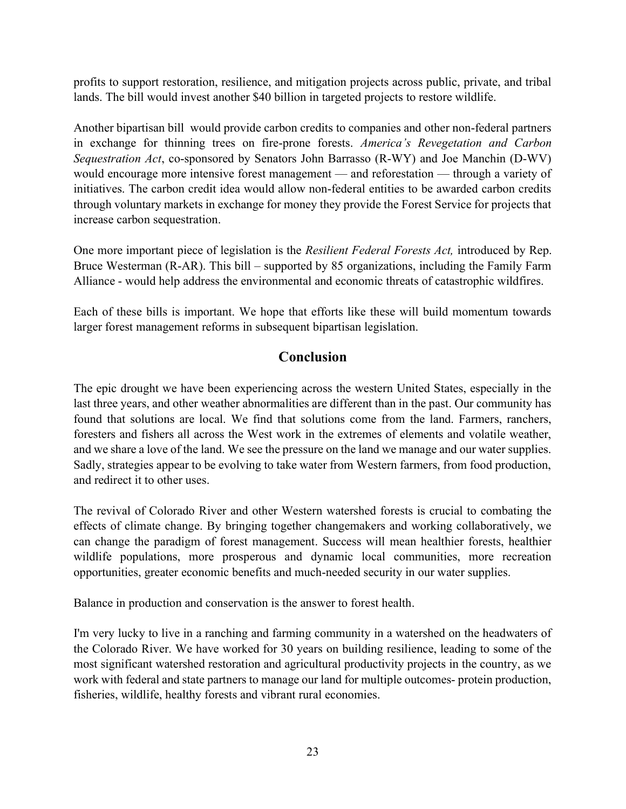profits to support restoration, resilience, and mitigation projects across public, private, and tribal lands. The bill would invest another \$40 billion in targeted projects to restore wildlife.

Another bipartisan bill would provide carbon credits to companies and other non-federal partners in exchange for thinning trees on fire-prone forests. America's Revegetation and Carbon Sequestration Act, co-sponsored by Senators John Barrasso (R-WY) and Joe Manchin (D-WV) would encourage more intensive forest management — and reforestation — through a variety of initiatives. The carbon credit idea would allow non-federal entities to be awarded carbon credits through voluntary markets in exchange for money they provide the Forest Service for projects that increase carbon sequestration.

One more important piece of legislation is the Resilient Federal Forests Act, introduced by Rep. Bruce Westerman (R-AR). This bill – supported by 85 organizations, including the Family Farm Alliance - would help address the environmental and economic threats of catastrophic wildfires.

Each of these bills is important. We hope that efforts like these will build momentum towards larger forest management reforms in subsequent bipartisan legislation.

## Conclusion

The epic drought we have been experiencing across the western United States, especially in the last three years, and other weather abnormalities are different than in the past. Our community has found that solutions are local. We find that solutions come from the land. Farmers, ranchers, foresters and fishers all across the West work in the extremes of elements and volatile weather, and we share a love of the land. We see the pressure on the land we manage and our water supplies. Sadly, strategies appear to be evolving to take water from Western farmers, from food production, and redirect it to other uses.

The revival of Colorado River and other Western watershed forests is crucial to combating the effects of climate change. By bringing together changemakers and working collaboratively, we can change the paradigm of forest management. Success will mean healthier forests, healthier wildlife populations, more prosperous and dynamic local communities, more recreation opportunities, greater economic benefits and much-needed security in our water supplies.

Balance in production and conservation is the answer to forest health.

I'm very lucky to live in a ranching and farming community in a watershed on the headwaters of the Colorado River. We have worked for 30 years on building resilience, leading to some of the most significant watershed restoration and agricultural productivity projects in the country, as we work with federal and state partners to manage our land for multiple outcomes- protein production, fisheries, wildlife, healthy forests and vibrant rural economies.